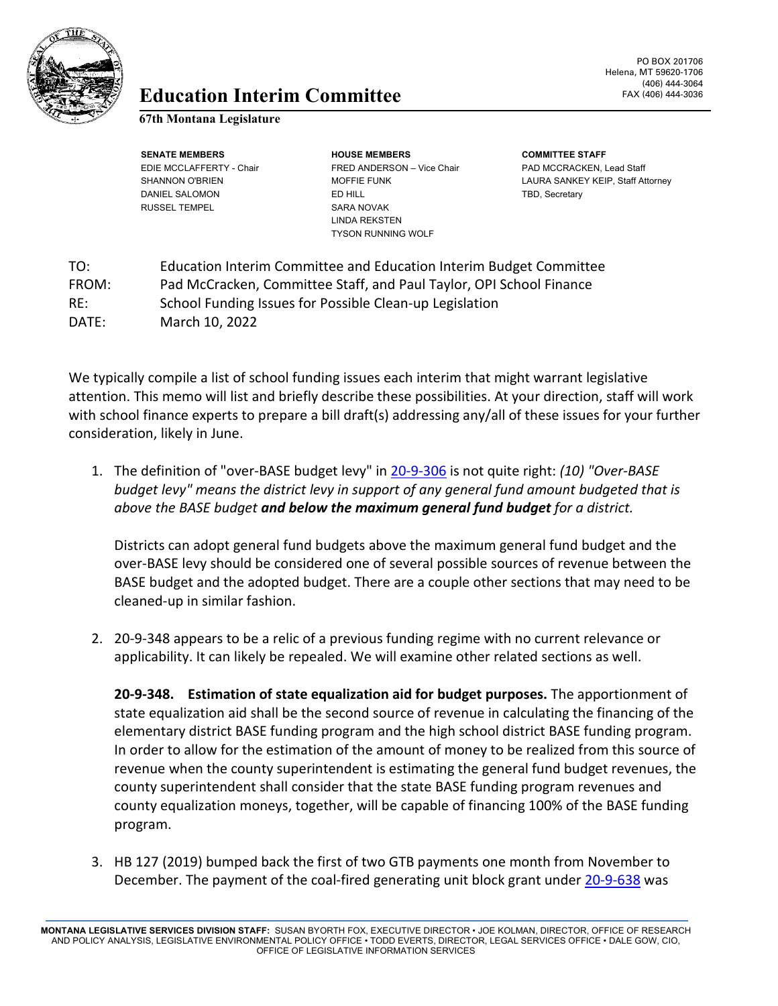

## **Education** FAX (406) 444-3036 **Interim Committee**

**67th Montana Legislature**

RUSSEL TEMPEL SARA NOVAK

**SENATE MEMBERS HOUSE MEMBERS COMMITTEE STAFF** EDIE MCCLAFFERTY - Chair FRED ANDERSON – Vice Chair PAD MCCRACKEN, Lead Staff DANIEL SALOMON **ED HILL ED HILL ED HILL TBD**, Secretary LINDA REKSTEN TYSON RUNNING WOLF

SHANNON O'BRIEN MOFFIE FUNK LAURA SANKEY KEIP, Staff Attorney

TO: Education Interim Committee and Education Interim Budget Committee FROM: Pad McCracken, Committee Staff, and Paul Taylor, OPI School Finance RE: School Funding Issues for Possible Clean-up Legislation DATE: March 10, 2022

We typically compile a list of school funding issues each interim that might warrant legislative attention. This memo will list and briefly describe these possibilities. At your direction, staff will work with school finance experts to prepare a bill draft(s) addressing any/all of these issues for your further consideration, likely in June.

1. The definition of "over-BASE budget levy" in [20-9-306](https://leg.mt.gov/bills/mca/title_0200/chapter_0090/part_0030/section_0060/0200-0090-0030-0060.html) is not quite right: *(10) "Over-BASE budget levy" means the district levy in support of any general fund amount budgeted that is above the BASE budget and below the maximum general fund budget for a district.*

Districts can adopt general fund budgets above the maximum general fund budget and the over-BASE levy should be considered one of several possible sources of revenue between the BASE budget and the adopted budget. There are a couple other sections that may need to be cleaned-up in similar fashion.

2. 20-9-348 appears to be a relic of a previous funding regime with no current relevance or applicability. It can likely be repealed. We will examine other related sections as well.

**20-9-348. Estimation of state equalization aid for budget purposes.** The apportionment of state equalization aid shall be the second source of revenue in calculating the financing of the elementary district BASE funding program and the high school district BASE funding program. In order to allow for the estimation of the amount of money to be realized from this source of revenue when the county superintendent is estimating the general fund budget revenues, the county superintendent shall consider that the state BASE funding program revenues and county equalization moneys, together, will be capable of financing 100% of the BASE funding program.

3. HB 127 (2019) bumped back the first of two GTB payments one month from November to December. The payment of the coal-fired generating unit block grant under [20-9-638](https://leg.mt.gov/bills/mca/title_0200/chapter_0090/part_0060/section_0380/0200-0090-0060-0380.html) was

**MONTANA LEGISLATIVE SERVICES DIVISION STAFF:** SUSAN BYORTH FOX, EXECUTIVE DIRECTOR • JOE KOLMAN, DIRECTOR, OFFICE OF RESEARCH AND POLICY ANALYSIS, LEGISLATIVE ENVIRONMENTAL POLICY OFFICE • TODD EVERTS, DIRECTOR, LEGAL SERVICES OFFICE • DALE GOW, CIO, OFFICE OF LEGISLATIVE INFORMATION SERVICES